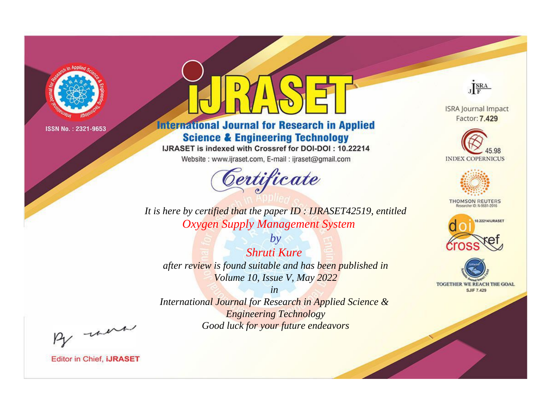

# **International Journal for Research in Applied Science & Engineering Technology**

IJRASET is indexed with Crossref for DOI-DOI: 10.22214

Website: www.ijraset.com, E-mail: ijraset@gmail.com



*It is here by certified that the paper ID : IJRASET42519, entitled Oxygen Supply Management System*

*by Shruti Kure after review is found suitable and has been published in Volume 10, Issue V, May 2022*

*in International Journal for Research in Applied Science & Engineering Technology Good luck for your future endeavors*



**Editor in Chief, IJRASET** 

**ISRA Journal Impact** Factor: 7.429

JERA





**THOMSON REUTERS** 



TOGETHER WE REACH THE GOAL **SJIF 7.429**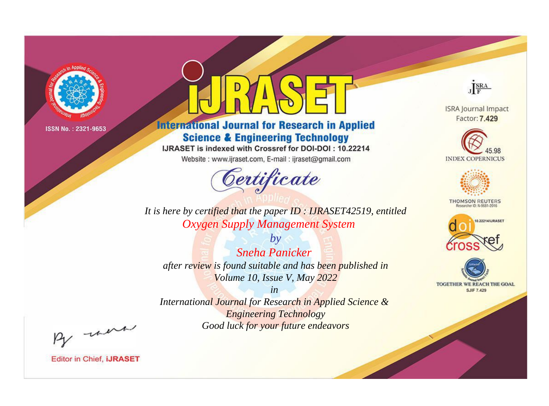

# **International Journal for Research in Applied Science & Engineering Technology**

IJRASET is indexed with Crossref for DOI-DOI: 10.22214

Website: www.ijraset.com, E-mail: ijraset@gmail.com



**ISRA Journal Impact** Factor: 7.429

JERA





**THOMSON REUTERS** 



TOGETHER WE REACH THE GOAL **SJIF 7.429** 

*It is here by certified that the paper ID : IJRASET42519, entitled Oxygen Supply Management System*

*by Sneha Panicker after review is found suitable and has been published in Volume 10, Issue V, May 2022*

*in* 

*International Journal for Research in Applied Science & Engineering Technology Good luck for your future endeavors*

By morn

**Editor in Chief, IJRASET**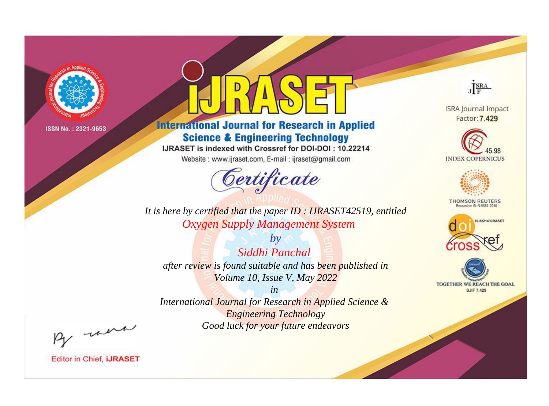

# **International Journal for Research in Applied Science & Engineering Technology**

IJRASET is indexed with Crossref for DOI-DOI: 10.22214

Website: www.ijraset.com, E-mail: ijraset@gmail.com



**ISRA Journal Impact** Factor: 7.429

JERA





**THOMSON REUTERS** 



TOGETHER WE REACH THE GOAL **SJIF 7.429** 

*It is here by certified that the paper ID : IJRASET42519, entitled Oxygen Supply Management System*

*by Siddhi Panchal after review is found suitable and has been published in Volume 10, Issue V, May 2022*

*in* 

*International Journal for Research in Applied Science & Engineering Technology Good luck for your future endeavors*

By morn

**Editor in Chief, IJRASET**